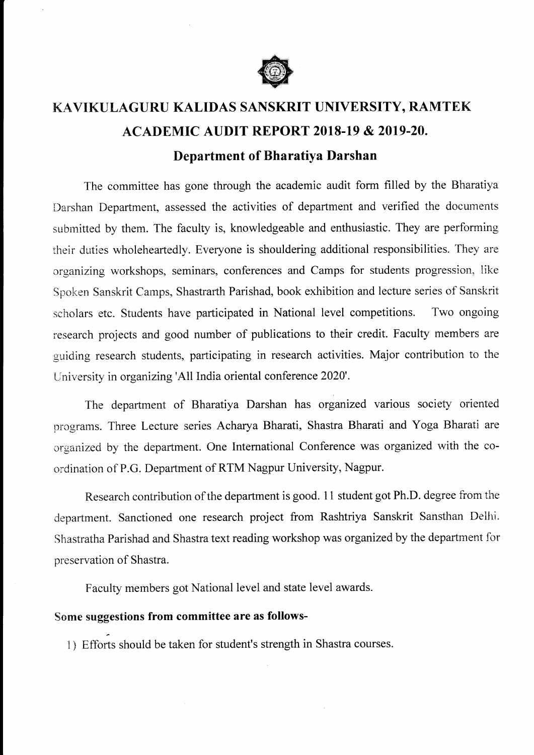

## KAVIKULAGURU KALIDAS SANSKRIT UNIVERSITY, RAMTEK **ACADEMIC AUDIT REPORT 2018-19 & 2019-20.** Department of Bharatiya Darshan

The committee has gone through the academic audit form filled by the Bharatiya Darshan Department, assessed the activities of department and verified the documents submitted by them. The faculty is, knowledgeable and enthusiastic. They are performing their duties wholeheartedly. Everyone is shouldering additional responsibilities. They are organizing workshops, seminars, conferences and Camps for students progression, like Spoken Sanskrit Camps, Shastrarth Parishad, book exhibition and lecture series of Sanskrit scholars etc. Students have participated in National level competitions. Two ongoing research projects and good number of publications to their credit. Faculty members are guiding research students, participating in research activities. Major contribution to the University in organizing 'Al1 India oriental conference 2020'.

The department of Bharatiya Darshan has organized various society oriented programs. Three Lecture series Acharya Bharati, Shastra Bharati and Yoga Bharati are organized by the department. One Intemational Conference was organized with the coordination of P.G. Department of RTM Nagpur University, Nagpur.

Research contribution of the department is good. 11 student got Ph.D. degree from the department. Sanctioned one research project from Rashtriya Sanskrit Sansthan Delhi. Shastratha Parishad and Shastra text reading workshop was organized by the department for preservation of Shastra.

Faculty members got National level and state level awards.

## Some suggestions from committee are as follows-

F

1 ) Efforts should be taken for student's strength in Shastra courses.